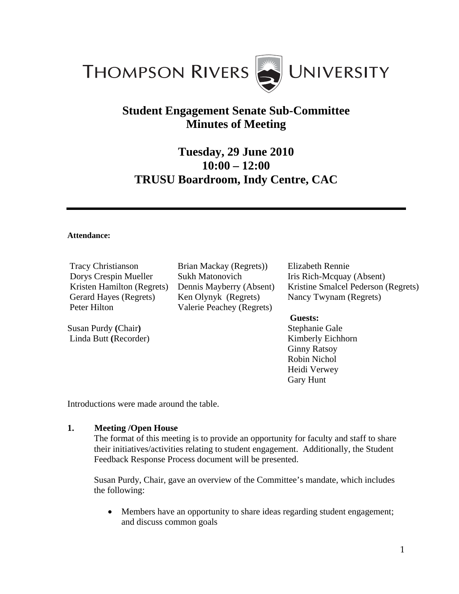

# **Student Engagement Senate Sub-Committee Minutes of Meeting**

# **Tuesday, 29 June 2010 10:00 – 12:00 TRUSU Boardroom, Indy Centre, CAC**

### **Attendance:**

Tracy Christianson Dorys Crespin Mueller Kristen Hamilton (Regrets) Gerard Hayes (Regrets) Peter Hilton

Susan Purdy **(**Chair**)**  Linda Butt **(**Recorder) Brian Mackay (Regrets)) Sukh Matonovich Dennis Mayberry (Absent) Ken Olynyk (Regrets) Valerie Peachey (Regrets)

Elizabeth Rennie Iris Rich-Mcquay (Absent) Kristine Smalcel Pederson (Regrets) Nancy Twynam (Regrets)

### **Guests:**

Stephanie Gale Kimberly Eichhorn Ginny Ratsoy Robin Nichol Heidi Verwey Gary Hunt

Introductions were made around the table.

## **1. Meeting /Open House**

 The format of this meeting is to provide an opportunity for faculty and staff to share their initiatives/activities relating to student engagement. Additionally, the Student Feedback Response Process document will be presented.

 Susan Purdy, Chair, gave an overview of the Committee's mandate, which includes the following:

• Members have an opportunity to share ideas regarding student engagement; and discuss common goals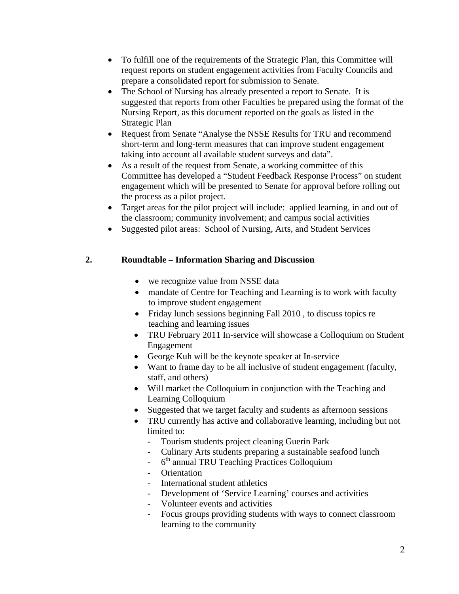- To fulfill one of the requirements of the Strategic Plan, this Committee will request reports on student engagement activities from Faculty Councils and prepare a consolidated report for submission to Senate.
- The School of Nursing has already presented a report to Senate. It is suggested that reports from other Faculties be prepared using the format of the Nursing Report, as this document reported on the goals as listed in the Strategic Plan
- Request from Senate "Analyse the NSSE Results for TRU and recommend short-term and long-term measures that can improve student engagement taking into account all available student surveys and data".
- As a result of the request from Senate, a working committee of this Committee has developed a "Student Feedback Response Process" on student engagement which will be presented to Senate for approval before rolling out the process as a pilot project.
- Target areas for the pilot project will include: applied learning, in and out of the classroom; community involvement; and campus social activities
- Suggested pilot areas: School of Nursing, Arts, and Student Services

## **2. Roundtable – Information Sharing and Discussion**

- we recognize value from NSSE data
- mandate of Centre for Teaching and Learning is to work with faculty to improve student engagement
- Friday lunch sessions beginning Fall 2010, to discuss topics re teaching and learning issues
- TRU February 2011 In-service will showcase a Colloquium on Student Engagement
- George Kuh will be the keynote speaker at In-service
- Want to frame day to be all inclusive of student engagement (faculty, staff, and others)
- Will market the Colloquium in conjunction with the Teaching and Learning Colloquium
- Suggested that we target faculty and students as afternoon sessions
- TRU currently has active and collaborative learning, including but not limited to:
	- Tourism students project cleaning Guerin Park
	- Culinary Arts students preparing a sustainable seafood lunch
	- $-6<sup>th</sup>$  annual TRU Teaching Practices Colloquium
	- Orientation
	- International student athletics
	- Development of 'Service Learning' courses and activities
	- Volunteer events and activities
	- Focus groups providing students with ways to connect classroom learning to the community